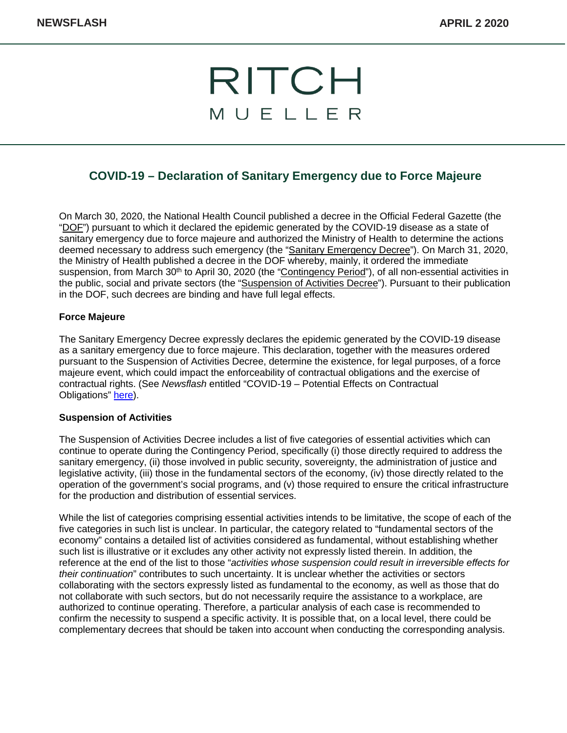

## **COVID-19 – Declaration of Sanitary Emergency due to Force Majeure**

On March 30, 2020, the National Health Council published a decree in the Official Federal Gazette (the "DOF") pursuant to which it declared the epidemic generated by the COVID-19 disease as a state of sanitary emergency due to force majeure and authorized the Ministry of Health to determine the actions deemed necessary to address such emergency (the "Sanitary Emergency Decree"). On March 31, 2020, the Ministry of Health published a decree in the DOF whereby, mainly, it ordered the immediate suspension, from March 30<sup>th</sup> to April 30, 2020 (the "Contingency Period"), of all non-essential activities in the public, social and private sectors (the "Suspension of Activities Decree"). Pursuant to their publication in the DOF, such decrees are binding and have full legal effects.

#### **Force Majeure**

The Sanitary Emergency Decree expressly declares the epidemic generated by the COVID-19 disease as a sanitary emergency due to force majeure. This declaration, together with the measures ordered pursuant to the Suspension of Activities Decree, determine the existence, for legal purposes, of a force majeure event, which could impact the enforceability of contractual obligations and the exercise of contractual rights. (See *Newsflash* entitled "COVID-19 – Potential Effects on Contractual Obligations[" here\)](https://www.ritch.com.mx/en/read/451/covid-19-efectos-potenciales-respecto-de-obligaciones-contractuales).

#### **Suspension of Activities**

The Suspension of Activities Decree includes a list of five categories of essential activities which can continue to operate during the Contingency Period, specifically (i) those directly required to address the sanitary emergency, (ii) those involved in public security, sovereignty, the administration of justice and legislative activity, (iii) those in the fundamental sectors of the economy, (iv) those directly related to the operation of the government's social programs, and (v) those required to ensure the critical infrastructure for the production and distribution of essential services.

While the list of categories comprising essential activities intends to be limitative, the scope of each of the five categories in such list is unclear. In particular, the category related to "fundamental sectors of the economy" contains a detailed list of activities considered as fundamental, without establishing whether such list is illustrative or it excludes any other activity not expressly listed therein. In addition, the reference at the end of the list to those "*activities whose suspension could result in irreversible effects for their continuation*" contributes to such uncertainty. It is unclear whether the activities or sectors collaborating with the sectors expressly listed as fundamental to the economy, as well as those that do not collaborate with such sectors, but do not necessarily require the assistance to a workplace, are authorized to continue operating. Therefore, a particular analysis of each case is recommended to confirm the necessity to suspend a specific activity. It is possible that, on a local level, there could be complementary decrees that should be taken into account when conducting the corresponding analysis.